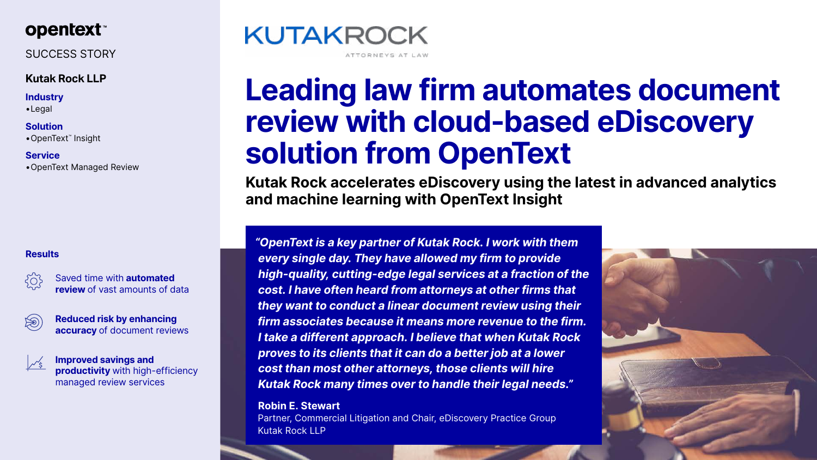

SUCCESS STORY

## **Kutak Rock LLP**

## **Industry**

•Legal

**Solution** •OpenText™ Insight

**Service** •OpenText Managed Review

# **Leading law firm automates document review with cloud-based eDiscovery solution from OpenText**

**Kutak Rock accelerates eDiscovery using the latest in advanced analytics and machine learning with OpenText Insight**

| 503 | Saved time with <b>automated</b> |
|-----|----------------------------------|
|     | review of vast amounts of data   |

|--|

*"OpenText is a key partner of Kutak Rock. I work with them every single day. They have allowed my firm to provide high-quality, cutting-edge legal services at a fraction of the cost. I have often heard from attorneys at other firms that they want to conduct a linear document review using their firm associates because it means more revenue to the firm. I take a different approach. I believe that when Kutak Rock proves to its clients that it can do a better job at a lower cost than most other attorneys, those clients will hire Kutak Rock many times over to handle their legal needs."*

**Robin E. Stewart**  Partner, Commercial Litigation and Chair, eDiscovery Practice Group Kutak Rock LLP







## **Results**

**Reduced risk by enhancing accuracy** of document reviews



**Improved savings and productivity** with high-efficiency managed review services

## **KUTAKROCK**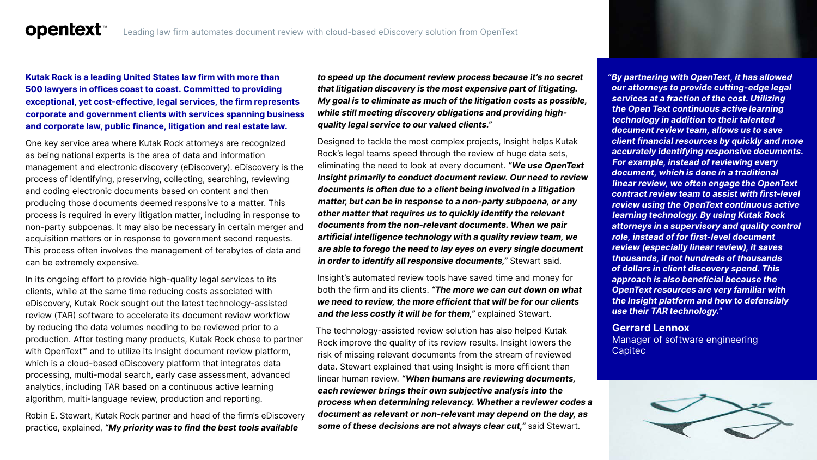## **Kutak Rock is a leading United States law firm with more than 500 lawyers in offices coast to coast. Committed to providing**

**opentext™** 

**exceptional, yet cost-effective, legal services, the firm represents corporate and government clients with services spanning business and corporate law, public finance, litigation and real estate law.**

One key service area where Kutak Rock attorneys are recognized as being national experts is the area of data and information management and electronic discovery (eDiscovery). eDiscovery is the process of identifying, preserving, collecting, searching, reviewing and coding electronic documents based on content and then producing those documents deemed responsive to a matter. This process is required in every litigation matter, including in response to non-party subpoenas. It may also be necessary in certain merger and acquisition matters or in response to government second requests. This process often involves the management of terabytes of data and can be extremely expensive.

In its ongoing effort to provide high-quality legal services to its clients, while at the same time reducing costs associated with eDiscovery, Kutak Rock sought out the latest technology-assisted review (TAR) software to accelerate its document review workflow by reducing the data volumes needing to be reviewed prior to a production. After testing many products, Kutak Rock chose to partner with OpenText<sup>™</sup> and to utilize its Insight document review platform, which is a cloud-based eDiscovery platform that integrates data processing, multi-modal search, early case assessment, advanced analytics, including TAR based on a continuous active learning algorithm, multi-language review, production and reporting.

Robin E. Stewart, Kutak Rock partner and head of the firm's eDiscovery practice, explained, *"My priority was to find the best tools available* 

*to speed up the document review process because it's no secret that litigation discovery is the most expensive part of litigating. My goal is to eliminate as much of the litigation costs as possible, while still meeting discovery obligations and providing highquality legal service to our valued clients."*



Designed to tackle the most complex projects, Insight helps Kutak Rock's legal teams speed through the review of huge data sets, eliminating the need to look at every document. *"We use OpenText Insight primarily to conduct document review. Our need to review documents is often due to a client being involved in a litigation matter, but can be in response to a non-party subpoena, or any other matter that requires us to quickly identify the relevant documents from the non-relevant documents. When we pair artificial intelligence technology with a quality review team, we are able to forego the need to lay eyes on every single document in order to identify all responsive documents,"* Stewart said.

Insight's automated review tools have saved time and money for both the firm and its clients. *"The more we can cut down on what we need to review, the more efficient that will be for our clients and the less costly it will be for them,"* explained Stewart.

The technology-assisted review solution has also helped Kutak Rock improve the quality of its review results. Insight lowers the risk of missing relevant documents from the stream of reviewed data. Stewart explained that using Insight is more efficient than linear human review. *"When humans are reviewing documents, each reviewer brings their own subjective analysis into the process when determining relevancy. Whether a reviewer codes a document as relevant or non-relevant may depend on the day, as some of these decisions are not always clear cut,"* said Stewart.

*"By partnering with OpenText, it has allowed our attorneys to provide cutting-edge legal services at a fraction of the cost. Utilizing the Open Text continuous active learning technology in addition to their talented document review team, allows us to save client financial resources by quickly and more accurately identifying responsive documents. For example, instead of reviewing every document, which is done in a traditional linear review, we often engage the OpenText contract review team to assist with first-level review using the OpenText continuous active learning technology. By using Kutak Rock attorneys in a supervisory and quality control role, instead of for first-level document review (especially linear review), it saves thousands, if not hundreds of thousands of dollars in client discovery spend. This approach is also beneficial because the OpenText resources are very familiar with the Insight platform and how to defensibly use their TAR technology."*

## **Gerrard Lennox**

Manager of software engineering Capitec